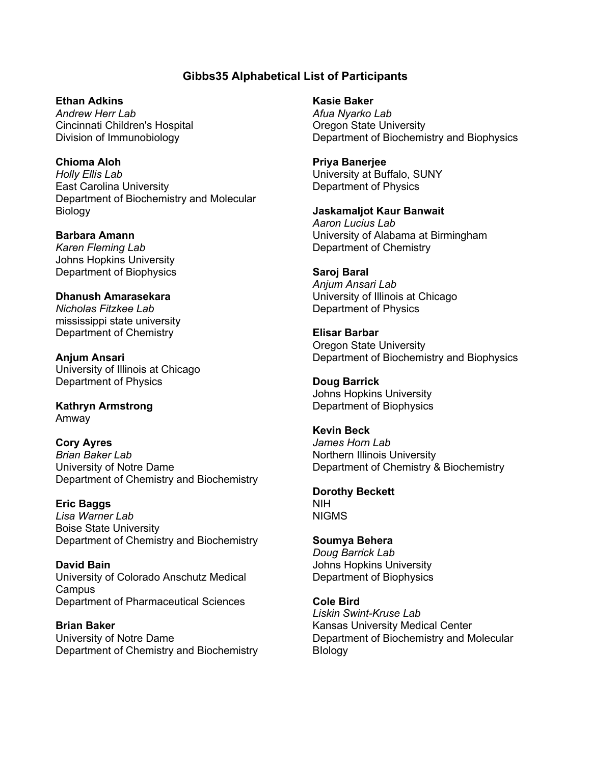# **Gibbs35 Alphabetical List of Participants**

**Ethan Adkins** *Andrew Herr Lab* Cincinnati Children's Hospital Division of Immunobiology

**Chioma Aloh** *Holly Ellis Lab* East Carolina University Department of Biochemistry and Molecular Biology

**Barbara Amann** *Karen Fleming Lab* Johns Hopkins University Department of Biophysics

**Dhanush Amarasekara** *Nicholas Fitzkee Lab* mississippi state university Department of Chemistry

**Anjum Ansari** University of Illinois at Chicago Department of Physics

**Kathryn Armstrong** Amway

**Cory Ayres** *Brian Baker Lab* University of Notre Dame Department of Chemistry and Biochemistry

**Eric Baggs** *Lisa Warner Lab* Boise State University Department of Chemistry and Biochemistry

**David Bain** University of Colorado Anschutz Medical Campus Department of Pharmaceutical Sciences

**Brian Baker** University of Notre Dame Department of Chemistry and Biochemistry **Kasie Baker** *Afua Nyarko Lab* Oregon State University Department of Biochemistry and Biophysics

**Priya Banerjee** University at Buffalo, SUNY Department of Physics

**Jaskamaljot Kaur Banwait** *Aaron Lucius Lab* University of Alabama at Birmingham Department of Chemistry

**Saroj Baral** *Anjum Ansari Lab* University of Illinois at Chicago Department of Physics

**Elisar Barbar** Oregon State University Department of Biochemistry and Biophysics

**Doug Barrick** Johns Hopkins University Department of Biophysics

**Kevin Beck** *James Horn Lab* Northern Illinois University Department of Chemistry & Biochemistry

**Dorothy Beckett** NIH NIGMS

**Soumya Behera** *Doug Barrick Lab* Johns Hopkins University Department of Biophysics

**Cole Bird** *Liskin Swint-Kruse Lab* Kansas University Medical Center Department of Biochemistry and Molecular **Blology**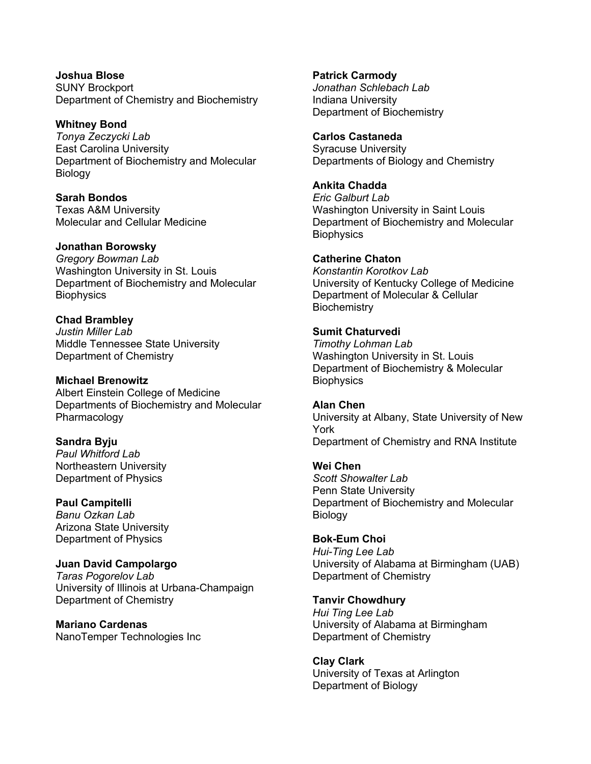**Joshua Blose** SUNY Brockport Department of Chemistry and Biochemistry

**Whitney Bond**  *Tonya Zeczycki Lab* East Carolina University Department of Biochemistry and Molecular Biology

**Sarah Bondos** Texas A&M University Molecular and Cellular Medicine

#### **Jonathan Borowsky**

*Gregory Bowman Lab* Washington University in St. Louis Department of Biochemistry and Molecular **Biophysics** 

**Chad Brambley** *Justin Miller Lab* Middle Tennessee State University Department of Chemistry

**Michael Brenowitz** Albert Einstein College of Medicine Departments of Biochemistry and Molecular Pharmacology

**Sandra Byju** *Paul Whitford Lab* Northeastern University Department of Physics

**Paul Campitelli** *Banu Ozkan Lab* Arizona State University Department of Physics

**Juan David Campolargo** *Taras Pogorelov Lab* University of Illinois at Urbana-Champaign Department of Chemistry

**Mariano Cardenas** NanoTemper Technologies Inc **Patrick Carmody** *Jonathan Schlebach Lab* Indiana University Department of Biochemistry

#### **Carlos Castaneda**

Syracuse University Departments of Biology and Chemistry

**Ankita Chadda**

*Eric Galburt Lab* Washington University in Saint Louis Department of Biochemistry and Molecular **Biophysics** 

### **Catherine Chaton**

*Konstantin Korotkov Lab* University of Kentucky College of Medicine Department of Molecular & Cellular **Biochemistry** 

### **Sumit Chaturvedi**

*Timothy Lohman Lab* Washington University in St. Louis Department of Biochemistry & Molecular **Biophysics** 

**Alan Chen** University at Albany, State University of New York Department of Chemistry and RNA Institute

**Wei Chen** *Scott Showalter Lab* Penn State University Department of Biochemistry and Molecular Biology

**Bok-Eum Choi** *Hui-Ting Lee Lab* University of Alabama at Birmingham (UAB) Department of Chemistry

**Tanvir Chowdhury**  *Hui Ting Lee Lab* University of Alabama at Birmingham Department of Chemistry

**Clay Clark** University of Texas at Arlington Department of Biology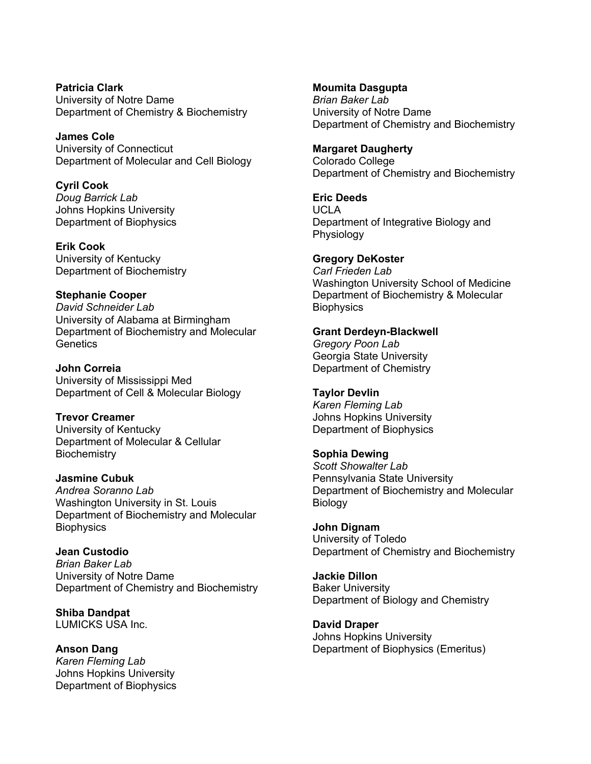**Patricia Clark** University of Notre Dame Department of Chemistry & Biochemistry

**James Cole** University of Connecticut Department of Molecular and Cell Biology

**Cyril Cook** *Doug Barrick Lab* Johns Hopkins University Department of Biophysics

**Erik Cook** University of Kentucky Department of Biochemistry

# **Stephanie Cooper** *David Schneider Lab* University of Alabama at Birmingham

Department of Biochemistry and Molecular **Genetics** 

**John Correia** University of Mississippi Med Department of Cell & Molecular Biology

**Trevor Creamer** University of Kentucky Department of Molecular & Cellular **Biochemistry** 

### **Jasmine Cubuk** *Andrea Soranno Lab* Washington University in St. Louis Department of Biochemistry and Molecular **Biophysics**

**Jean Custodio** *Brian Baker Lab* University of Notre Dame Department of Chemistry and Biochemistry

**Shiba Dandpat** LUMICKS USA Inc.

**Anson Dang** *Karen Fleming Lab* Johns Hopkins University Department of Biophysics

## **Moumita Dasgupta**

*Brian Baker Lab* University of Notre Dame Department of Chemistry and Biochemistry

# **Margaret Daugherty**

Colorado College Department of Chemistry and Biochemistry

**Eric Deeds** UCLA Department of Integrative Biology and Physiology

**Gregory DeKoster** *Carl Frieden Lab* Washington University School of Medicine Department of Biochemistry & Molecular **Biophysics** 

# **Grant Derdeyn-Blackwell**

*Gregory Poon Lab* Georgia State University Department of Chemistry

## **Taylor Devlin**

*Karen Fleming Lab* Johns Hopkins University Department of Biophysics

## **Sophia Dewing**

*Scott Showalter Lab* Pennsylvania State University Department of Biochemistry and Molecular Biology

**John Dignam** University of Toledo Department of Chemistry and Biochemistry

**Jackie Dillon** Baker University Department of Biology and Chemistry

**David Draper** Johns Hopkins University Department of Biophysics (Emeritus)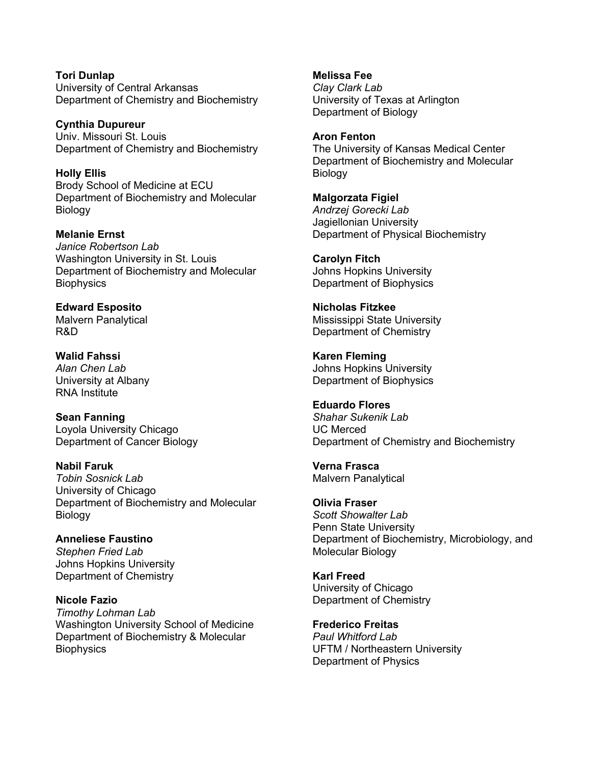**Tori Dunlap** University of Central Arkansas Department of Chemistry and Biochemistry

**Cynthia Dupureur** Univ. Missouri St. Louis Department of Chemistry and Biochemistry

**Holly Ellis** Brody School of Medicine at ECU Department of Biochemistry and Molecular **Biology** 

**Melanie Ernst** *Janice Robertson Lab* Washington University in St. Louis Department of Biochemistry and Molecular **Biophysics** 

**Edward Esposito** Malvern Panalytical R&D

**Walid Fahssi** *Alan Chen Lab* University at Albany RNA Institute

**Sean Fanning** Loyola University Chicago Department of Cancer Biology

**Nabil Faruk** *Tobin Sosnick Lab* University of Chicago Department of Biochemistry and Molecular Biology

**Anneliese Faustino** *Stephen Fried Lab* Johns Hopkins University Department of Chemistry

**Nicole Fazio** *Timothy Lohman Lab* Washington University School of Medicine Department of Biochemistry & Molecular **Biophysics** 

**Melissa Fee** *Clay Clark Lab* University of Texas at Arlington Department of Biology

**Aron Fenton** The University of Kansas Medical Center Department of Biochemistry and Molecular **Biology** 

**Malgorzata Figiel** *Andrzej Gorecki Lab* Jagiellonian University Department of Physical Biochemistry

**Carolyn Fitch** Johns Hopkins University Department of Biophysics

**Nicholas Fitzkee** Mississippi State University Department of Chemistry

**Karen Fleming** Johns Hopkins University Department of Biophysics

**Eduardo Flores** *Shahar Sukenik Lab* UC Merced Department of Chemistry and Biochemistry

**Verna Frasca** Malvern Panalytical

**Olivia Fraser** *Scott Showalter Lab* Penn State University Department of Biochemistry, Microbiology, and Molecular Biology

**Karl Freed** University of Chicago Department of Chemistry

**Frederico Freitas** *Paul Whitford Lab* UFTM / Northeastern University Department of Physics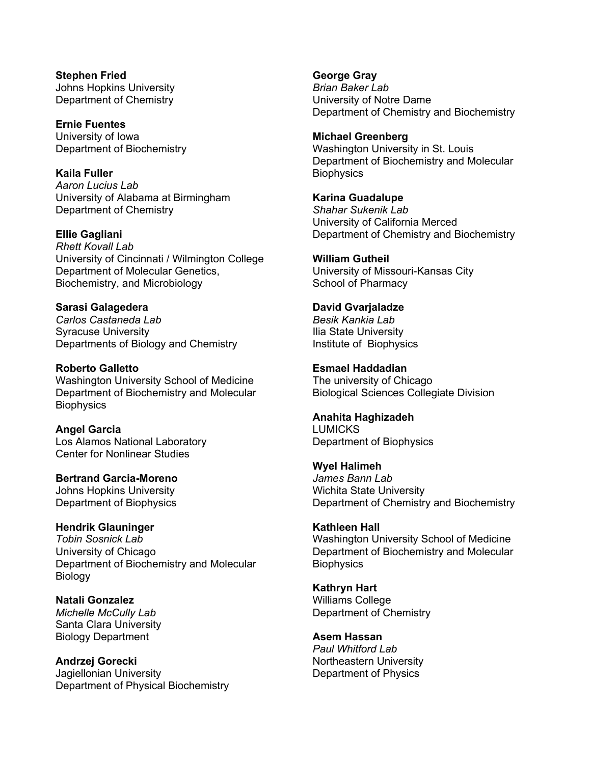**Stephen Fried** Johns Hopkins University Department of Chemistry

**Ernie Fuentes** University of Iowa Department of Biochemistry

**Kaila Fuller** *Aaron Lucius Lab* University of Alabama at Birmingham Department of Chemistry

**Ellie Gagliani** *Rhett Kovall Lab* University of Cincinnati / Wilmington College Department of Molecular Genetics, Biochemistry, and Microbiology

**Sarasi Galagedera** *Carlos Castaneda Lab* Syracuse University Departments of Biology and Chemistry

**Roberto Galletto** Washington University School of Medicine Department of Biochemistry and Molecular **Biophysics** 

**Angel Garcia** Los Alamos National Laboratory Center for Nonlinear Studies

**Bertrand Garcia-Moreno** Johns Hopkins University Department of Biophysics

**Hendrik Glauninger** *Tobin Sosnick Lab* University of Chicago Department of Biochemistry and Molecular **Biology** 

**Natali Gonzalez** *Michelle McCully Lab* Santa Clara University Biology Department

**Andrzej Gorecki** Jagiellonian University Department of Physical Biochemistry **George Gray** *Brian Baker Lab* University of Notre Dame Department of Chemistry and Biochemistry

**Michael Greenberg** Washington University in St. Louis Department of Biochemistry and Molecular **Biophysics** 

**Karina Guadalupe** *Shahar Sukenik Lab* University of California Merced Department of Chemistry and Biochemistry

**William Gutheil** University of Missouri-Kansas City School of Pharmacy

**David Gvarjaladze** *Besik Kankia Lab* Ilia State University Institute of Biophysics

**Esmael Haddadian** The university of Chicago Biological Sciences Collegiate Division

**Anahita Haghizadeh** LUMICKS Department of Biophysics

**Wyel Halimeh** *James Bann Lab* Wichita State University Department of Chemistry and Biochemistry

**Kathleen Hall** Washington University School of Medicine Department of Biochemistry and Molecular **Biophysics** 

**Kathryn Hart** Williams College Department of Chemistry

**Asem Hassan** *Paul Whitford Lab* Northeastern University Department of Physics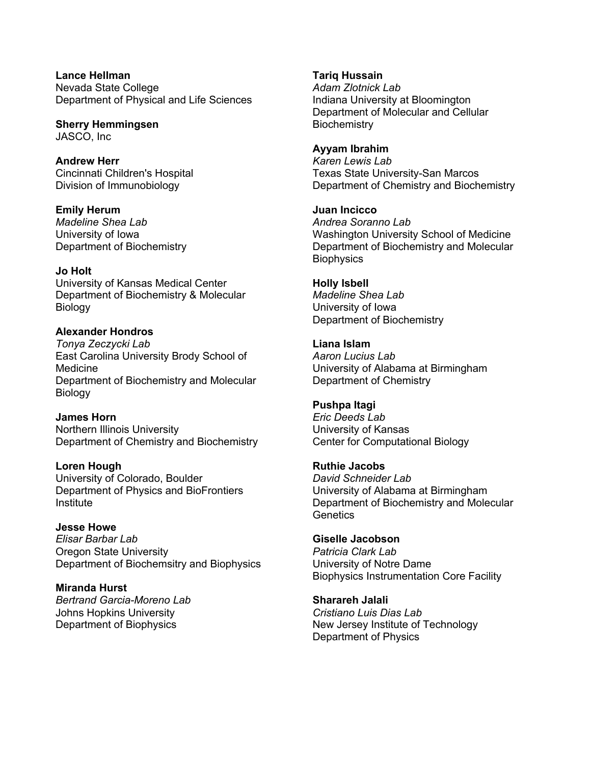**Lance Hellman** Nevada State College Department of Physical and Life Sciences

**Sherry Hemmingsen** JASCO, Inc

**Andrew Herr** Cincinnati Children's Hospital Division of Immunobiology

**Emily Herum** *Madeline Shea Lab* University of Iowa Department of Biochemistry

**Jo Holt** University of Kansas Medical Center Department of Biochemistry & Molecular Biology

#### **Alexander Hondros** *Tonya Zeczycki Lab* East Carolina University Brody School of Medicine Department of Biochemistry and Molecular Biology

**James Horn** Northern Illinois University Department of Chemistry and Biochemistry

**Loren Hough** University of Colorado, Boulder Department of Physics and BioFrontiers Institute

**Jesse Howe** *Elisar Barbar Lab* Oregon State University Department of Biochemsitry and Biophysics

**Miranda Hurst** *Bertrand Garcia-Moreno Lab* Johns Hopkins University Department of Biophysics

**Tariq Hussain** *Adam Zlotnick Lab* Indiana University at Bloomington Department of Molecular and Cellular **Biochemistry** 

**Ayyam Ibrahim** *Karen Lewis Lab* Texas State University-San Marcos Department of Chemistry and Biochemistry

**Juan Incicco** *Andrea Soranno Lab* Washington University School of Medicine Department of Biochemistry and Molecular **Biophysics** 

**Holly Isbell** *Madeline Shea Lab* University of Iowa Department of Biochemistry

**Liana Islam** *Aaron Lucius Lab* University of Alabama at Birmingham Department of Chemistry

**Pushpa Itagi** *Eric Deeds Lab* University of Kansas Center for Computational Biology

**Ruthie Jacobs** *David Schneider Lab* University of Alabama at Birmingham Department of Biochemistry and Molecular **Genetics** 

**Giselle Jacobson** *Patricia Clark Lab* University of Notre Dame Biophysics Instrumentation Core Facility

**Sharareh Jalali** *Cristiano Luis Dias Lab* New Jersey Institute of Technology Department of Physics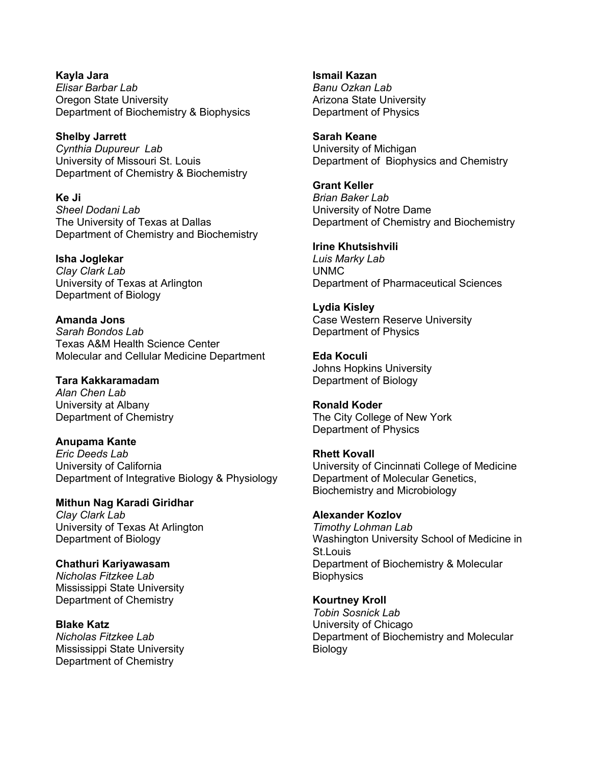**Kayla Jara** *Elisar Barbar Lab* Oregon State University Department of Biochemistry & Biophysics

**Shelby Jarrett** *Cynthia Dupureur Lab* University of Missouri St. Louis Department of Chemistry & Biochemistry

**Ke Ji** *Sheel Dodani Lab* The University of Texas at Dallas Department of Chemistry and Biochemistry

**Isha Joglekar** *Clay Clark Lab* University of Texas at Arlington Department of Biology

**Amanda Jons** *Sarah Bondos Lab* Texas A&M Health Science Center Molecular and Cellular Medicine Department

**Tara Kakkaramadam** *Alan Chen Lab* University at Albany Department of Chemistry

**Anupama Kante** *Eric Deeds Lab* University of California Department of Integrative Biology & Physiology

**Mithun Nag Karadi Giridhar** *Clay Clark Lab* University of Texas At Arlington Department of Biology

**Chathuri Kariyawasam**  *Nicholas Fitzkee Lab* Mississippi State University Department of Chemistry

**Blake Katz** *Nicholas Fitzkee Lab* Mississippi State University Department of Chemistry

**Ismail Kazan** *Banu Ozkan Lab* Arizona State University Department of Physics

**Sarah Keane** University of Michigan Department of Biophysics and Chemistry

**Grant Keller** *Brian Baker Lab* University of Notre Dame Department of Chemistry and Biochemistry

**Irine Khutsishvili** *Luis Marky Lab* UNMC Department of Pharmaceutical Sciences

**Lydia Kisley** Case Western Reserve University Department of Physics

**Eda Koculi** Johns Hopkins University Department of Biology

**Ronald Koder** The City College of New York Department of Physics

**Rhett Kovall** University of Cincinnati College of Medicine Department of Molecular Genetics, Biochemistry and Microbiology

**Alexander Kozlov** *Timothy Lohman Lab* Washington University School of Medicine in St.Louis Department of Biochemistry & Molecular **Biophysics** 

**Kourtney Kroll** *Tobin Sosnick Lab* University of Chicago Department of Biochemistry and Molecular **Biology**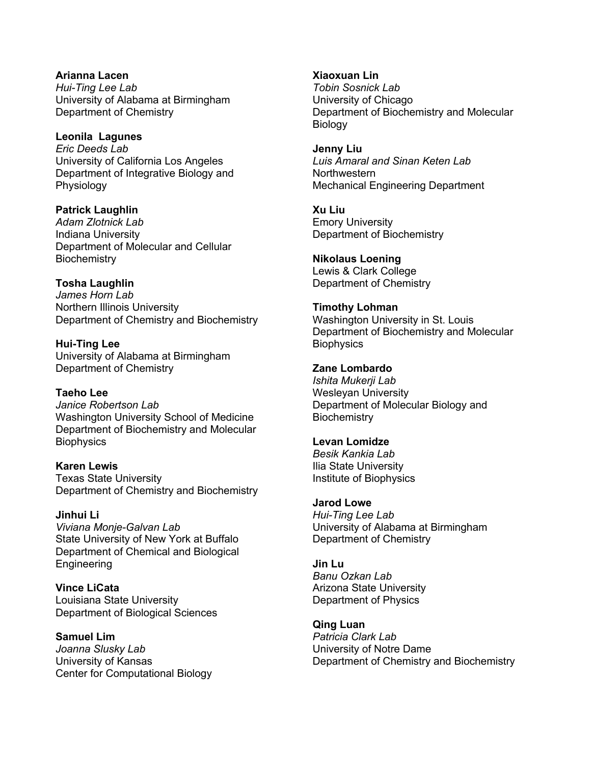**Arianna Lacen** *Hui-Ting Lee Lab* University of Alabama at Birmingham Department of Chemistry

**Leonila Lagunes** *Eric Deeds Lab* University of California Los Angeles Department of Integrative Biology and **Physiology** 

**Patrick Laughlin** *Adam Zlotnick Lab* Indiana University Department of Molecular and Cellular **Biochemistry** 

**Tosha Laughlin** *James Horn Lab* Northern Illinois University

Department of Chemistry and Biochemistry

**Hui-Ting Lee** University of Alabama at Birmingham Department of Chemistry

**Taeho Lee** *Janice Robertson Lab* Washington University School of Medicine Department of Biochemistry and Molecular **Biophysics** 

**Karen Lewis** Texas State University Department of Chemistry and Biochemistry

**Jinhui Li** *Viviana Monje-Galvan Lab* State University of New York at Buffalo Department of Chemical and Biological **Engineering** 

**Vince LiCata** Louisiana State University Department of Biological Sciences

**Samuel Lim** *Joanna Slusky Lab* University of Kansas Center for Computational Biology **Xiaoxuan Lin** *Tobin Sosnick Lab* University of Chicago Department of Biochemistry and Molecular **Biology** 

**Jenny Liu** *Luis Amaral and Sinan Keten Lab* **Northwestern** Mechanical Engineering Department

**Xu Liu** Emory University Department of Biochemistry

**Nikolaus Loening** Lewis & Clark College Department of Chemistry

**Timothy Lohman** Washington University in St. Louis Department of Biochemistry and Molecular **Biophysics** 

**Zane Lombardo** *Ishita Mukerji Lab* Wesleyan University Department of Molecular Biology and **Biochemistry** 

**Levan Lomidze** *Besik Kankia Lab* Ilia State University Institute of Biophysics

**Jarod Lowe** *Hui-Ting Lee Lab* University of Alabama at Birmingham Department of Chemistry

**Jin Lu** *Banu Ozkan Lab* Arizona State University Department of Physics

**Qing Luan** *Patricia Clark Lab* University of Notre Dame Department of Chemistry and Biochemistry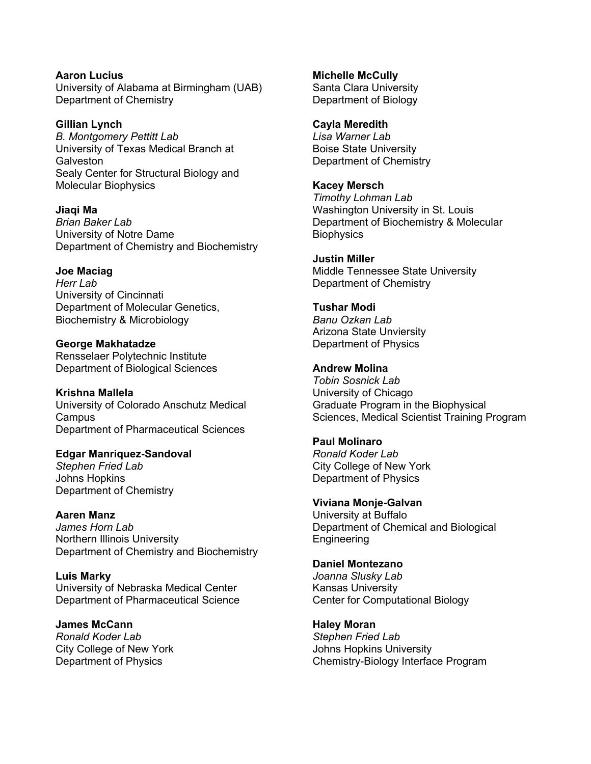**Aaron Lucius** University of Alabama at Birmingham (UAB) Department of Chemistry

**Gillian Lynch** *B. Montgomery Pettitt Lab* University of Texas Medical Branch at **Galveston** Sealy Center for Structural Biology and Molecular Biophysics

**Jiaqi Ma** *Brian Baker Lab* University of Notre Dame Department of Chemistry and Biochemistry

**Joe Maciag** *Herr Lab* University of Cincinnati Department of Molecular Genetics, Biochemistry & Microbiology

**George Makhatadze** Rensselaer Polytechnic Institute Department of Biological Sciences

**Krishna Mallela** University of Colorado Anschutz Medical Campus Department of Pharmaceutical Sciences

**Edgar Manriquez-Sandoval** *Stephen Fried Lab* Johns Hopkins Department of Chemistry

**Aaren Manz** *James Horn Lab* Northern Illinois University Department of Chemistry and Biochemistry

**Luis Marky** University of Nebraska Medical Center Department of Pharmaceutical Science

**James McCann** *Ronald Koder Lab* City College of New York Department of Physics

**Michelle McCully** Santa Clara University Department of Biology

**Cayla Meredith** *Lisa Warner Lab* Boise State University Department of Chemistry

**Kacey Mersch** *Timothy Lohman Lab* Washington University in St. Louis Department of Biochemistry & Molecular **Biophysics** 

**Justin Miller** Middle Tennessee State University Department of Chemistry

**Tushar Modi** *Banu Ozkan Lab* Arizona State Unviersity Department of Physics

**Andrew Molina** *Tobin Sosnick Lab* University of Chicago Graduate Program in the Biophysical Sciences, Medical Scientist Training Program

**Paul Molinaro** *Ronald Koder Lab* City College of New York Department of Physics

**Viviana Monje-Galvan** University at Buffalo Department of Chemical and Biological Engineering

**Daniel Montezano** *Joanna Slusky Lab* Kansas University Center for Computational Biology

**Haley Moran** *Stephen Fried Lab* Johns Hopkins University Chemistry-Biology Interface Program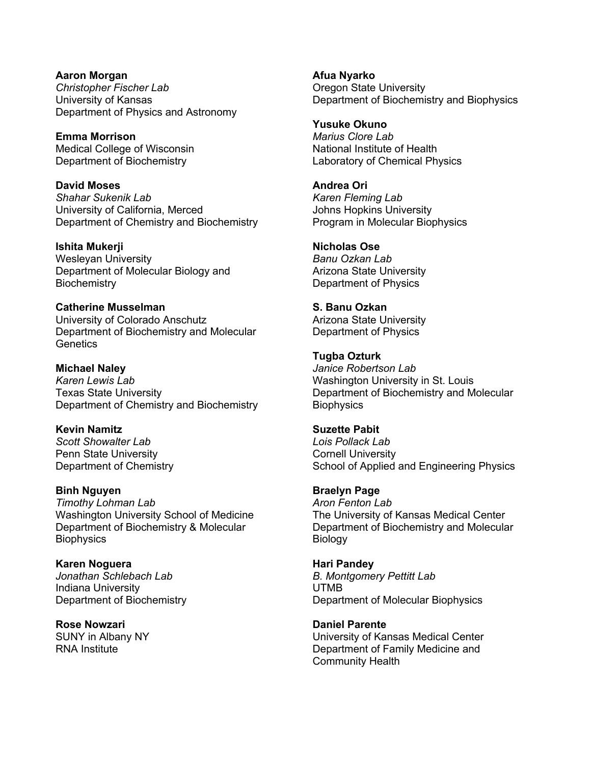**Aaron Morgan** *Christopher Fischer Lab* University of Kansas Department of Physics and Astronomy

**Emma Morrison** Medical College of Wisconsin Department of Biochemistry

**David Moses** *Shahar Sukenik Lab* University of California, Merced Department of Chemistry and Biochemistry

**Ishita Mukerji** Wesleyan University Department of Molecular Biology and **Biochemistry** 

**Catherine Musselman** University of Colorado Anschutz Department of Biochemistry and Molecular **Genetics** 

**Michael Naley** *Karen Lewis Lab* Texas State University Department of Chemistry and Biochemistry

**Kevin Namitz** *Scott Showalter Lab* Penn State University Department of Chemistry

**Binh Nguyen** *Timothy Lohman Lab* Washington University School of Medicine Department of Biochemistry & Molecular **Biophysics** 

**Karen Noguera** *Jonathan Schlebach Lab* Indiana University Department of Biochemistry

**Rose Nowzari** SUNY in Albany NY RNA Institute

**Afua Nyarko** Oregon State University Department of Biochemistry and Biophysics

**Yusuke Okuno** *Marius Clore Lab* National Institute of Health Laboratory of Chemical Physics

**Andrea Ori** *Karen Fleming Lab* Johns Hopkins University Program in Molecular Biophysics

**Nicholas Ose** *Banu Ozkan Lab* Arizona State University Department of Physics

**S. Banu Ozkan** Arizona State University Department of Physics

**Tugba Ozturk** *Janice Robertson Lab* Washington University in St. Louis Department of Biochemistry and Molecular **Biophysics** 

**Suzette Pabit** *Lois Pollack Lab* Cornell University School of Applied and Engineering Physics

**Braelyn Page** *Aron Fenton Lab* The University of Kansas Medical Center Department of Biochemistry and Molecular **Biology** 

**Hari Pandey** *B. Montgomery Pettitt Lab* UTMB Department of Molecular Biophysics

**Daniel Parente** University of Kansas Medical Center Department of Family Medicine and Community Health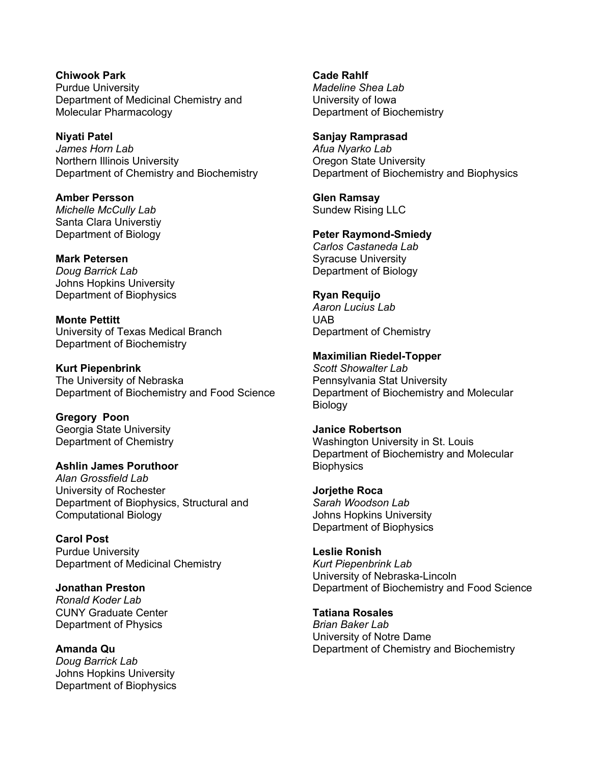**Chiwook Park** Purdue University Department of Medicinal Chemistry and Molecular Pharmacology

**Niyati Patel** *James Horn Lab* Northern Illinois University Department of Chemistry and Biochemistry

**Amber Persson** *Michelle McCully Lab* Santa Clara Universtiy Department of Biology

**Mark Petersen** *Doug Barrick Lab* Johns Hopkins University Department of Biophysics

**Monte Pettitt** University of Texas Medical Branch Department of Biochemistry

**Kurt Piepenbrink** The University of Nebraska Department of Biochemistry and Food Science

**Gregory Poon** Georgia State University Department of Chemistry

**Ashlin James Poruthoor** *Alan Grossfield Lab* University of Rochester Department of Biophysics, Structural and Computational Biology

**Carol Post** Purdue University Department of Medicinal Chemistry

**Jonathan Preston** *Ronald Koder Lab* CUNY Graduate Center Department of Physics

**Amanda Qu** *Doug Barrick Lab* Johns Hopkins University Department of Biophysics **Cade Rahlf** *Madeline Shea Lab* University of Iowa Department of Biochemistry

**Sanjay Ramprasad**  *Afua Nyarko Lab* Oregon State University Department of Biochemistry and Biophysics

**Glen Ramsay** Sundew Rising LLC

**Peter Raymond-Smiedy** *Carlos Castaneda Lab* Syracuse University Department of Biology

**Ryan Requijo** *Aaron Lucius Lab* UAB Department of Chemistry

**Maximilian Riedel-Topper** *Scott Showalter Lab* Pennsylvania Stat University Department of Biochemistry and Molecular Biology

**Janice Robertson** Washington University in St. Louis Department of Biochemistry and Molecular **Biophysics** 

**Jorjethe Roca** *Sarah Woodson Lab* Johns Hopkins University Department of Biophysics

**Leslie Ronish** *Kurt Piepenbrink Lab* University of Nebraska-Lincoln Department of Biochemistry and Food Science

**Tatiana Rosales** *Brian Baker Lab* University of Notre Dame Department of Chemistry and Biochemistry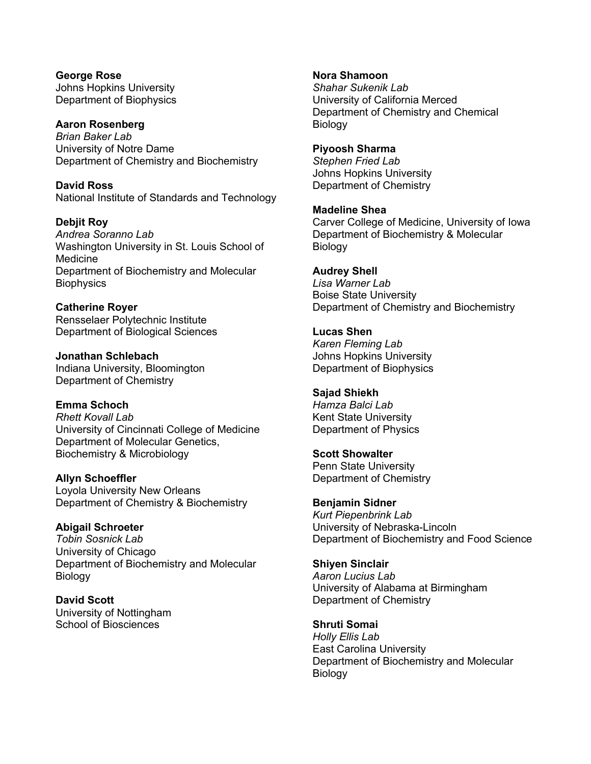**George Rose** Johns Hopkins University Department of Biophysics

**Aaron Rosenberg** *Brian Baker Lab* University of Notre Dame Department of Chemistry and Biochemistry

**David Ross** National Institute of Standards and Technology

**Debjit Roy** *Andrea Soranno Lab* Washington University in St. Louis School of Medicine Department of Biochemistry and Molecular **Biophysics** 

**Catherine Royer** Rensselaer Polytechnic Institute Department of Biological Sciences

**Jonathan Schlebach** Indiana University, Bloomington Department of Chemistry

**Emma Schoch** *Rhett Kovall Lab* University of Cincinnati College of Medicine Department of Molecular Genetics, Biochemistry & Microbiology

**Allyn Schoeffler** Loyola University New Orleans Department of Chemistry & Biochemistry

**Abigail Schroeter** *Tobin Sosnick Lab* University of Chicago Department of Biochemistry and Molecular **Biology** 

**David Scott** University of Nottingham School of Biosciences

**Nora Shamoon** *Shahar Sukenik Lab* University of California Merced Department of Chemistry and Chemical **Biology** 

**Piyoosh Sharma** *Stephen Fried Lab* Johns Hopkins University Department of Chemistry

**Madeline Shea** Carver College of Medicine, University of Iowa Department of Biochemistry & Molecular Biology

**Audrey Shell** *Lisa Warner Lab* Boise State University Department of Chemistry and Biochemistry

**Lucas Shen** *Karen Fleming Lab* Johns Hopkins University Department of Biophysics

**Sajad Shiekh** *Hamza Balci Lab* Kent State University Department of Physics

**Scott Showalter** Penn State University Department of Chemistry

**Benjamin Sidner** *Kurt Piepenbrink Lab* University of Nebraska-Lincoln Department of Biochemistry and Food Science

**Shiyen Sinclair** *Aaron Lucius Lab* University of Alabama at Birmingham Department of Chemistry

**Shruti Somai** *Holly Ellis Lab* East Carolina University Department of Biochemistry and Molecular Biology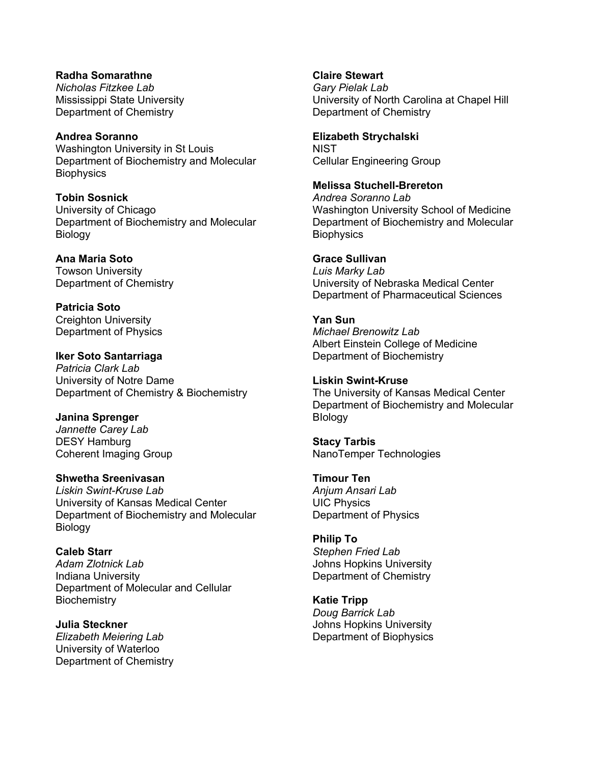**Radha Somarathne** *Nicholas Fitzkee Lab* Mississippi State University Department of Chemistry

**Andrea Soranno** Washington University in St Louis Department of Biochemistry and Molecular **Biophysics** 

**Tobin Sosnick** University of Chicago Department of Biochemistry and Molecular Biology

**Ana Maria Soto** Towson University Department of Chemistry

**Patricia Soto** Creighton University Department of Physics

**Iker Soto Santarriaga** *Patricia Clark Lab* University of Notre Dame Department of Chemistry & Biochemistry

**Janina Sprenger** *Jannette Carey Lab* DESY Hamburg Coherent Imaging Group

**Shwetha Sreenivasan** *Liskin Swint-Kruse Lab* University of Kansas Medical Center Department of Biochemistry and Molecular Biology

**Caleb Starr** *Adam Zlotnick Lab* Indiana University Department of Molecular and Cellular **Biochemistry** 

**Julia Steckner** *Elizabeth Meiering Lab* University of Waterloo Department of Chemistry **Claire Stewart**

*Gary Pielak Lab* University of North Carolina at Chapel Hill Department of Chemistry

**Elizabeth Strychalski**

**NIST** Cellular Engineering Group

**Melissa Stuchell-Brereton**

*Andrea Soranno Lab* Washington University School of Medicine Department of Biochemistry and Molecular **Biophysics** 

**Grace Sullivan**

*Luis Marky Lab* University of Nebraska Medical Center Department of Pharmaceutical Sciences

**Yan Sun** *Michael Brenowitz Lab* Albert Einstein College of Medicine Department of Biochemistry

**Liskin Swint-Kruse** The University of Kansas Medical Center Department of Biochemistry and Molecular BIology

**Stacy Tarbis** NanoTemper Technologies

**Timour Ten** *Anjum Ansari Lab* UIC Physics Department of Physics

**Philip To** *Stephen Fried Lab* Johns Hopkins University Department of Chemistry

**Katie Tripp** *Doug Barrick Lab* Johns Hopkins University Department of Biophysics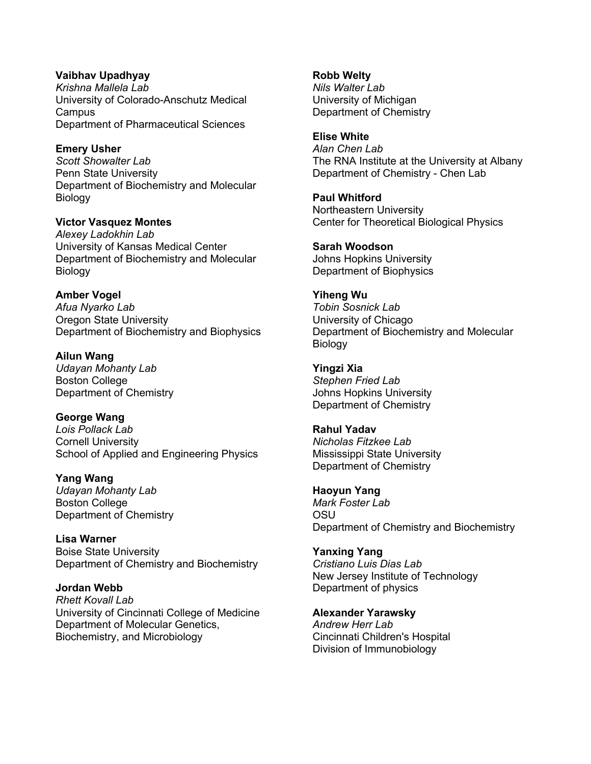**Vaibhav Upadhyay** *Krishna Mallela Lab* University of Colorado-Anschutz Medical **Campus** Department of Pharmaceutical Sciences

**Emery Usher** *Scott Showalter Lab* Penn State University Department of Biochemistry and Molecular Biology

**Victor Vasquez Montes** *Alexey Ladokhin Lab* University of Kansas Medical Center Department of Biochemistry and Molecular Biology

**Amber Vogel** *Afua Nyarko Lab* Oregon State University Department of Biochemistry and Biophysics

**Ailun Wang** *Udayan Mohanty Lab* Boston College Department of Chemistry

**George Wang** *Lois Pollack Lab* Cornell University School of Applied and Engineering Physics

**Yang Wang** *Udayan Mohanty Lab* Boston College Department of Chemistry

**Lisa Warner** Boise State University Department of Chemistry and Biochemistry

**Jordan Webb** *Rhett Kovall Lab* University of Cincinnati College of Medicine Department of Molecular Genetics, Biochemistry, and Microbiology

**Robb Welty** *Nils Walter Lab* University of Michigan Department of Chemistry

**Elise White** *Alan Chen Lab* The RNA Institute at the University at Albany Department of Chemistry - Chen Lab

**Paul Whitford** Northeastern University Center for Theoretical Biological Physics

**Sarah Woodson** Johns Hopkins University Department of Biophysics

**Yiheng Wu** *Tobin Sosnick Lab* University of Chicago Department of Biochemistry and Molecular Biology

**Yingzi Xia** *Stephen Fried Lab* Johns Hopkins University Department of Chemistry

**Rahul Yadav** *Nicholas Fitzkee Lab* Mississippi State University Department of Chemistry

**Haoyun Yang** *Mark Foster Lab* OSU Department of Chemistry and Biochemistry

**Yanxing Yang** *Cristiano Luis Dias Lab* New Jersey Institute of Technology Department of physics

**Alexander Yarawsky** *Andrew Herr Lab* Cincinnati Children's Hospital Division of Immunobiology